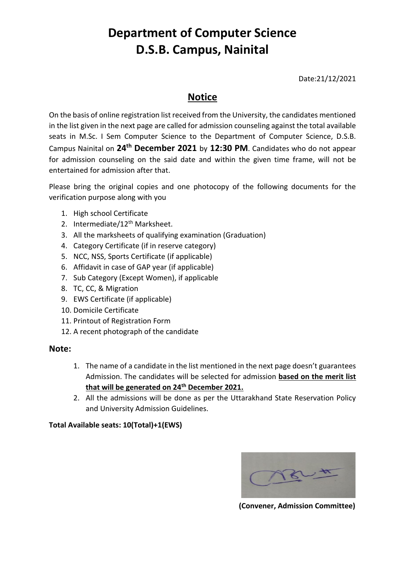## **Department of Computer Science D.S.B. Campus, Nainital**

Date:21/12/2021

### **Notice**

On the basis of online registration list received from the University, the candidates mentioned in the list given in the next page are called for admission counseling against the total available seats in M.Sc. I Sem Computer Science to the Department of Computer Science, D.S.B. Campus Nainital on **24th December 2021** by **12:30 PM**. Candidates who do not appear for admission counseling on the said date and within the given time frame, will not be entertained for admission after that.

Please bring the original copies and one photocopy of the following documents for the verification purpose along with you

- 1. High school Certificate
- 2. Intermediate/12<sup>th</sup> Marksheet.
- 3. All the marksheets of qualifying examination (Graduation)
- 4. Category Certificate (if in reserve category)
- 5. NCC, NSS, Sports Certificate (if applicable)
- 6. Affidavit in case of GAP year (if applicable)
- 7. Sub Category (Except Women), if applicable
- 8. TC, CC, & Migration
- 9. EWS Certificate (if applicable)
- 10. Domicile Certificate
- 11. Printout of Registration Form
- 12. A recent photograph of the candidate

#### **Note:**

- 1. The name of a candidate in the list mentioned in the next page doesn't guarantees Admission. The candidates will be selected for admission **based on the merit list that will be generated on 24th December 2021.**
- 2. All the admissions will be done as per the Uttarakhand State Reservation Policy and University Admission Guidelines.

#### **Total Available seats: 10(Total)+1(EWS)**



 **(Convener, Admission Committee)**